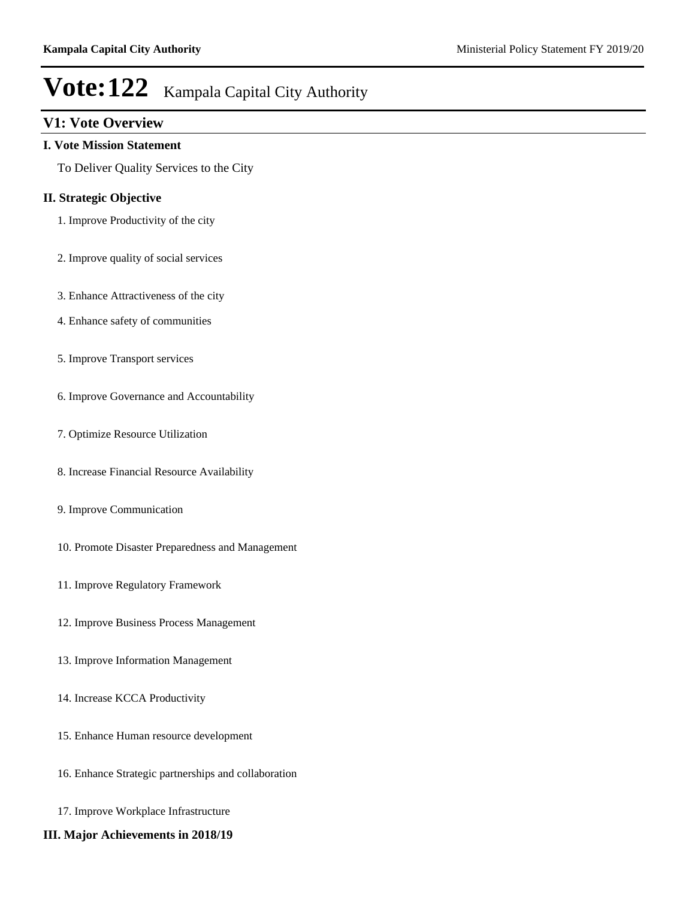# **V1: Vote Overview**

#### **I. Vote Mission Statement**

To Deliver Quality Services to the City

### **II. Strategic Objective**

- 1. Improve Productivity of the city
- 2. Improve quality of social services
- 3. Enhance Attractiveness of the city
- 4. Enhance safety of communities
- 5. Improve Transport services
- 6. Improve Governance and Accountability
- 7. Optimize Resource Utilization
- 8. Increase Financial Resource Availability
- 9. Improve Communication
- 10. Promote Disaster Preparedness and Management
- 11. Improve Regulatory Framework
- 12. Improve Business Process Management
- 13. Improve Information Management
- 14. Increase KCCA Productivity
- 15. Enhance Human resource development
- 16. Enhance Strategic partnerships and collaboration
- 17. Improve Workplace Infrastructure
- **III. Major Achievements in 2018/19**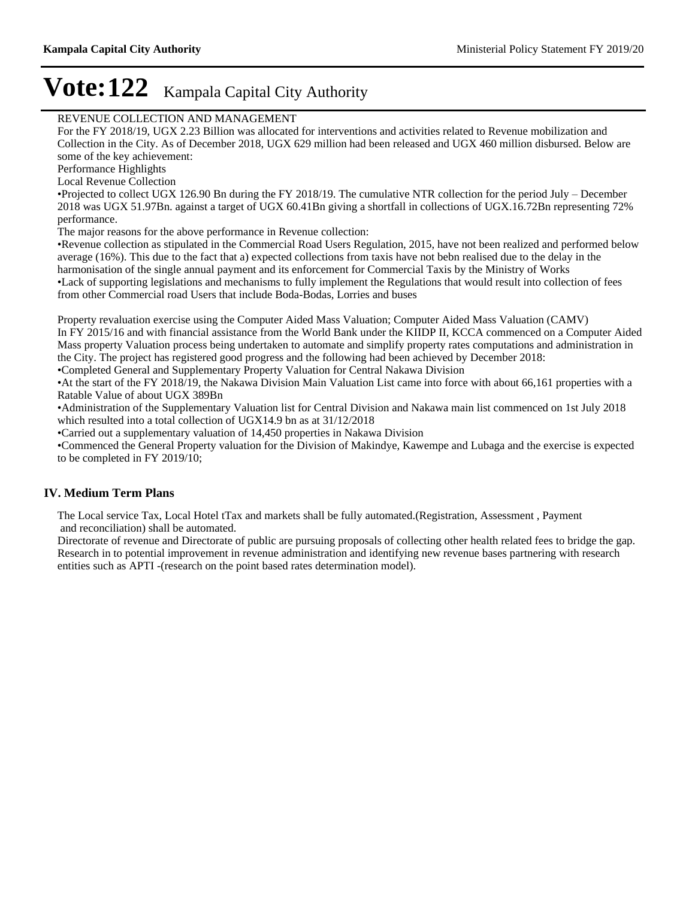### REVENUE COLLECTION AND MANAGEMENT

For the FY 2018/19, UGX 2.23 Billion was allocated for interventions and activities related to Revenue mobilization and Collection in the City. As of December 2018, UGX 629 million had been released and UGX 460 million disbursed. Below are some of the key achievement:

Performance Highlights

Local Revenue Collection

Projected to collect UGX 126.90 Bn during the FY 2018/19. The cumulative NTR collection for the period July – December 2018 was UGX 51.97Bn. against a target of UGX 60.41Bn giving a shortfall in collections of UGX.16.72Bn representing 72% performance.

The major reasons for the above performance in Revenue collection:

Revenue collection as stipulated in the Commercial Road Users Regulation, 2015, have not been realized and performed below average (16%). This due to the fact that a) expected collections from taxis have not bebn realised due to the delay in the harmonisation of the single annual payment and its enforcement for Commercial Taxis by the Ministry of Works Lack of supporting legislations and mechanisms to fully implement the Regulations that would result into collection of fees from other Commercial road Users that include Boda-Bodas, Lorries and buses

Property revaluation exercise using the Computer Aided Mass Valuation; Computer Aided Mass Valuation (CAMV) In FY 2015/16 and with financial assistance from the World Bank under the KIIDP II, KCCA commenced on a Computer Aided Mass property Valuation process being undertaken to automate and simplify property rates computations and administration in the City. The project has registered good progress and the following had been achieved by December 2018: Completed General and Supplementary Property Valuation for Central Nakawa Division

At the start of the FY 2018/19, the Nakawa Division Main Valuation List came into force with about 66,161 properties with a Ratable Value of about UGX 389Bn

Administration of the Supplementary Valuation list for Central Division and Nakawa main list commenced on 1st July 2018 which resulted into a total collection of UGX14.9 bn as at 31/12/2018

Carried out a supplementary valuation of 14,450 properties in Nakawa Division

Commenced the General Property valuation for the Division of Makindye, Kawempe and Lubaga and the exercise is expected to be completed in FY 2019/10;

### **IV. Medium Term Plans**

The Local service Tax, Local Hotel tTax and markets shall be fully automated.(Registration, Assessment , Payment and reconciliation) shall be automated.

Directorate of revenue and Directorate of public are pursuing proposals of collecting other health related fees to bridge the gap. Research in to potential improvement in revenue administration and identifying new revenue bases partnering with research entities such as APTI -(research on the point based rates determination model).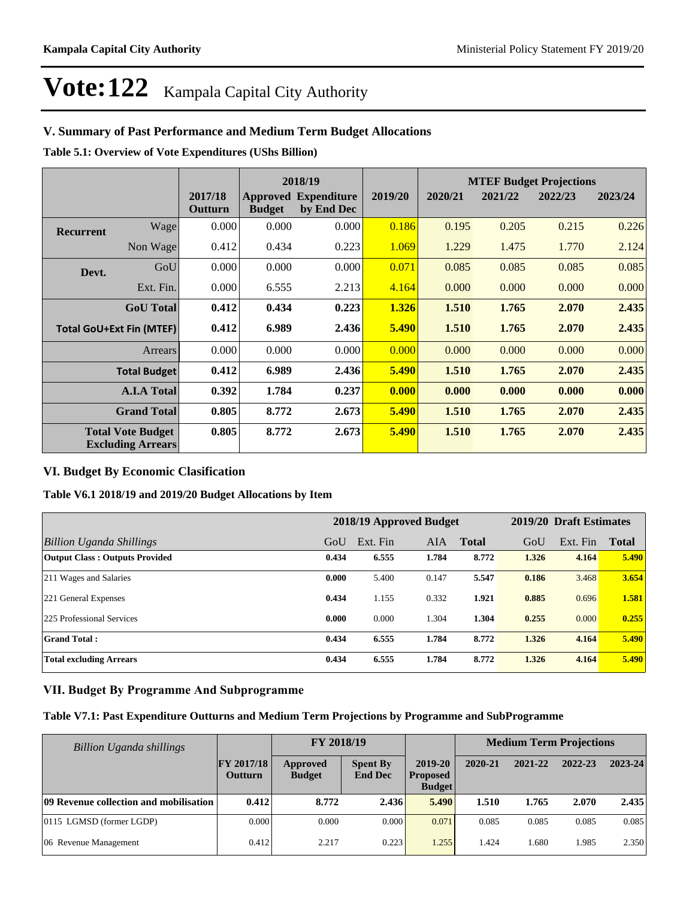# **V. Summary of Past Performance and Medium Term Budget Allocations**

**Table 5.1: Overview of Vote Expenditures (UShs Billion)**

|                                                      |                     |                    |               | 2018/19                                   |         | <b>MTEF Budget Projections</b> |         |         |         |  |
|------------------------------------------------------|---------------------|--------------------|---------------|-------------------------------------------|---------|--------------------------------|---------|---------|---------|--|
|                                                      |                     | 2017/18<br>Outturn | <b>Budget</b> | <b>Approved Expenditure</b><br>by End Dec | 2019/20 | 2020/21                        | 2021/22 | 2022/23 | 2023/24 |  |
| <b>Recurrent</b>                                     | Wage                | 0.000              | 0.000         | 0.000                                     | 0.186   | 0.195                          | 0.205   | 0.215   | 0.226   |  |
|                                                      | Non Wage            | 0.412              | 0.434         | 0.223                                     | 1.069   | 1.229                          | 1.475   | 1.770   | 2.124   |  |
| Devt.                                                | GoU                 | 0.000              | 0.000         | 0.000                                     | 0.071   | 0.085                          | 0.085   | 0.085   | 0.085   |  |
|                                                      | Ext. Fin.           | 0.000              | 6.555         | 2.213                                     | 4.164   | 0.000                          | 0.000   | 0.000   | 0.000   |  |
|                                                      | <b>GoU</b> Total    | 0.412              | 0.434         | 0.223                                     | 1.326   | 1.510                          | 1.765   | 2.070   | 2.435   |  |
| <b>Total GoU+Ext Fin (MTEF)</b>                      |                     | 0.412              | 6.989         | 2.436                                     | 5.490   | 1.510                          | 1.765   | 2.070   | 2.435   |  |
|                                                      | <b>Arrears</b>      | 0.000              | 0.000         | 0.000                                     | 0.000   | 0.000                          | 0.000   | 0.000   | 0.000   |  |
|                                                      | <b>Total Budget</b> | 0.412              | 6.989         | 2.436                                     | 5.490   | 1.510                          | 1.765   | 2.070   | 2.435   |  |
|                                                      | <b>A.I.A Total</b>  | 0.392              | 1.784         | 0.237                                     | 0.000   | 0.000                          | 0.000   | 0.000   | 0.000   |  |
| <b>Grand Total</b>                                   |                     | 0.805              | 8.772         | 2.673                                     | 5.490   | 1.510                          | 1.765   | 2.070   | 2.435   |  |
| <b>Total Vote Budget</b><br><b>Excluding Arrears</b> |                     | 0.805              | 8.772         | 2.673                                     | 5.490   | 1.510                          | 1.765   | 2.070   | 2.435   |  |

### **VI. Budget By Economic Clasification**

### **Table V6.1 2018/19 and 2019/20 Budget Allocations by Item**

|                                       |       | 2018/19 Approved Budget | 2019/20 Draft Estimates |              |       |          |              |
|---------------------------------------|-------|-------------------------|-------------------------|--------------|-------|----------|--------------|
| Billion Uganda Shillings              | GoU   | Ext. Fin                | <b>AIA</b>              | <b>Total</b> | GoU   | Ext. Fin | <b>Total</b> |
| <b>Output Class: Outputs Provided</b> | 0.434 | 6.555                   | 1.784                   | 8.772        | 1.326 | 4.164    | 5.490        |
| 211 Wages and Salaries                | 0.000 | 5.400                   | 0.147                   | 5.547        | 0.186 | 3.468    | 3.654        |
| 221 General Expenses                  | 0.434 | 1.155                   | 0.332                   | 1.921        | 0.885 | 0.696    | 1.581        |
| 225 Professional Services             | 0.000 | 0.000                   | 1.304                   | 1.304        | 0.255 | 0.000    | 0.255        |
| <b>Grand Total:</b>                   | 0.434 | 6.555                   | 1.784                   | 8.772        | 1.326 | 4.164    | 5.490        |
| <b>Total excluding Arrears</b>        | 0.434 | 6.555                   | 1.784                   | 8.772        | 1.326 | 4.164    | 5.490        |

### **VII. Budget By Programme And Subprogramme**

### **Table V7.1: Past Expenditure Outturns and Medium Term Projections by Programme and SubProgramme**

| Billion Uganda shillings               |                                     | FY 2018/19                |                                   |                                                 | <b>Medium Term Projections</b> |         |         |         |
|----------------------------------------|-------------------------------------|---------------------------|-----------------------------------|-------------------------------------------------|--------------------------------|---------|---------|---------|
|                                        | <b>FY 2017/18</b><br><b>Outturn</b> | Approved<br><b>Budget</b> | <b>Spent By</b><br><b>End Dec</b> | $2019 - 20$<br><b>Proposed</b><br><b>Budget</b> | 2020-21                        | 2021-22 | 2022-23 | 2023-24 |
| 09 Revenue collection and mobilisation | 0.412                               | 8.772                     | 2.436                             | 5.490                                           | 1.510                          | 1.765   | 2.070   | 2.435   |
| 0115 LGMSD (former LGDP)               | 0.000                               | 0.000                     | 0.000                             | 0.071                                           | 0.085                          | 0.085   | 0.085   | 0.085   |
| 06 Revenue Management                  | 0.412                               | 2.217                     | 0.223                             | 1.255                                           | 1.424                          | 1.680   | 1.985   | 2.350   |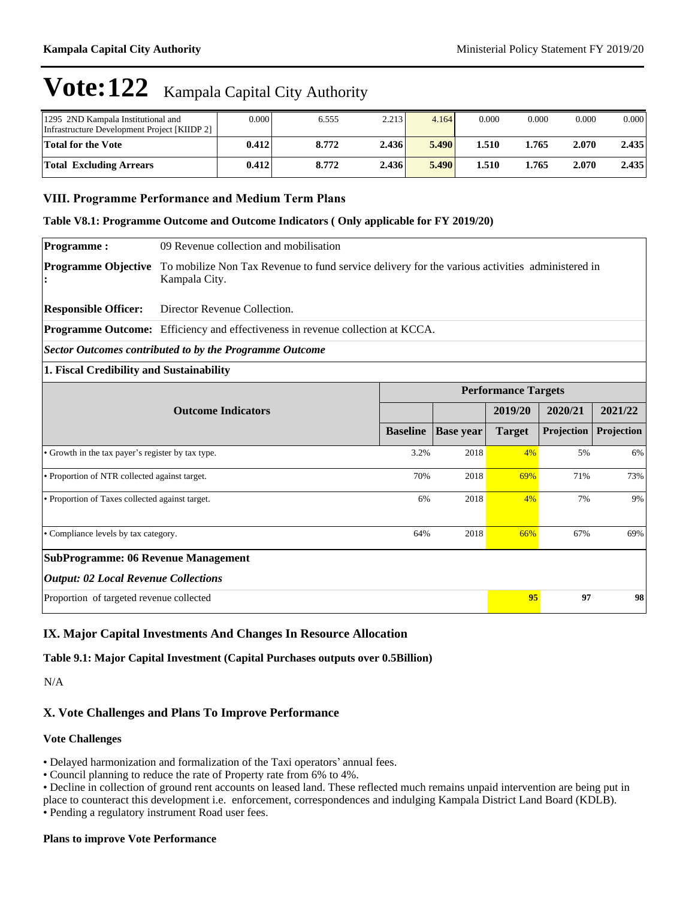| 1295 2ND Kampala Institutional and<br>Infrastructure Development Project [KIIDP 2] | 0.000 | 6.555 | 2.213 | 4.164 | 0.000 | 0.000 | 0.000 | 0.000 |
|------------------------------------------------------------------------------------|-------|-------|-------|-------|-------|-------|-------|-------|
| <b>Total for the Vote</b>                                                          | 0.412 | 8.772 | 2.436 | 5.490 | 1.510 | 1.765 | 2.070 | 2.435 |
| <b>Total Excluding Arrears</b>                                                     | 0.412 | 8.772 | 2.436 | 5.490 | 1.510 | 1.765 | 2.070 | 2.435 |

### **VIII. Programme Performance and Medium Term Plans**

**Table V8.1: Programme Outcome and Outcome Indicators ( Only applicable for FY 2019/20)**

**Programme :** 09 Revenue collection and mobilisation

**Programme Objective**  To mobilize Non Tax Revenue to fund service delivery for the various activities administered in **:** Kampala City.

**Responsible Officer:** Director Revenue Collection.

**Programme Outcome:** Efficiency and effectiveness in revenue collection at KCCA.

*Sector Outcomes contributed to by the Programme Outcome*

#### **1. Fiscal Credibility and Sustainability**

|                                                   | <b>Performance Targets</b> |                  |               |            |            |  |  |  |
|---------------------------------------------------|----------------------------|------------------|---------------|------------|------------|--|--|--|
| <b>Outcome Indicators</b>                         |                            |                  | 2019/20       | 2020/21    | 2021/22    |  |  |  |
|                                                   | <b>Baseline</b>            | <b>Base</b> year | <b>Target</b> | Projection | Projection |  |  |  |
| • Growth in the tax payer's register by tax type. | 3.2%                       | 2018             | 4%            | 5%         | 6%         |  |  |  |
| • Proportion of NTR collected against target.     | 70%                        | 2018             | 69%           | 71%        | 73%        |  |  |  |
| • Proportion of Taxes collected against target.   | 6%                         | 2018             | 4%            | 7%         | 9%         |  |  |  |
| • Compliance levels by tax category.              | 64%                        | 2018             | 66%           | 67%        | 69%        |  |  |  |
| <b>SubProgramme: 06 Revenue Management</b>        |                            |                  |               |            |            |  |  |  |
| <b>Output: 02 Local Revenue Collections</b>       |                            |                  |               |            |            |  |  |  |
| Proportion of targeted revenue collected          |                            |                  | 95            | 97         | 98         |  |  |  |

### **IX. Major Capital Investments And Changes In Resource Allocation**

**Table 9.1: Major Capital Investment (Capital Purchases outputs over 0.5Billion)**

N/A

### **X. Vote Challenges and Plans To Improve Performance**

#### **Vote Challenges**

• Delayed harmonization and formalization of the Taxi operators' annual fees.

Council planning to reduce the rate of Property rate from 6% to 4%.

Decline in collection of ground rent accounts on leased land. These reflected much remains unpaid intervention are being put in

place to counteract this development i.e. enforcement, correspondences and indulging Kampala District Land Board (KDLB).

Pending a regulatory instrument Road user fees.

#### **Plans to improve Vote Performance**